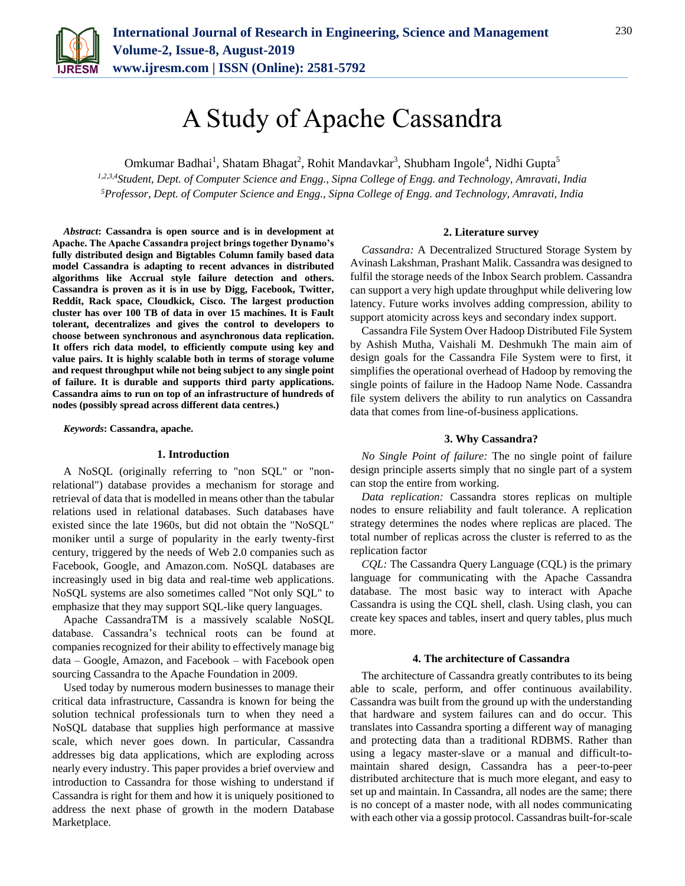

# A Study of Apache Cassandra

Omkumar Badhai<sup>1</sup>, Shatam Bhagat<sup>2</sup>, Rohit Mandavkar<sup>3</sup>, Shubham Ingole<sup>4</sup>, Nidhi Gupta<sup>5</sup>

*1,2,3,4Student, Dept. of Computer Science and Engg., Sipna College of Engg. and Technology, Amravati, India 5Professor, Dept. of Computer Science and Engg., Sipna College of Engg. and Technology, Amravati, India*

*Abstract***: Cassandra is open source and is in development at Apache. The Apache Cassandra project brings together Dynamo's fully distributed design and Bigtables Column family based data model Cassandra is adapting to recent advances in distributed algorithms like Accrual style failure detection and others. Cassandra is proven as it is in use by Digg, Facebook, Twitter, Reddit, Rack space, Cloudkick, Cisco. The largest production cluster has over 100 TB of data in over 15 machines. It is Fault tolerant, decentralizes and gives the control to developers to choose between synchronous and asynchronous data replication. It offers rich data model, to efficiently compute using key and value pairs. It is highly scalable both in terms of storage volume and request throughput while not being subject to any single point of failure. It is durable and supports third party applications. Cassandra aims to run on top of an infrastructure of hundreds of nodes (possibly spread across different data centres.)**

*Keywords***: Cassandra, apache.**

#### **1. Introduction**

A NoSQL (originally referring to "non [SQL"](https://en.wikipedia.org/wiki/SQL) or "nonrelational") database provides a mechanism for [storage](https://en.wikipedia.org/wiki/Computer_data_storage) and [retrieval](https://en.wikipedia.org/wiki/Data_retrieval) of data that is modelled in means other than the tabular relations used in [relational databases.](https://en.wikipedia.org/wiki/Relational_database) Such databases have existed since the late 1960s, but did not obtain the "NoSQL" moniker until a surge of popularity in the early twenty-first century, triggered by the needs of [Web 2.0](https://en.wikipedia.org/wiki/Web_2.0) companies such as [Facebook,](https://en.wikipedia.org/wiki/Facebook) [Google,](https://en.wikipedia.org/wiki/Google) and [Amazon.com.](https://en.wikipedia.org/wiki/Amazon.com) NoSQL databases are increasingly used in [big data](https://en.wikipedia.org/wiki/Big_data) and [real-time web](https://en.wikipedia.org/wiki/Real-time_web) applications. NoSQL systems are also sometimes called "Not only SQL" to emphasize that they may support [SQL-](https://en.wikipedia.org/wiki/SQL)like query languages.

Apache CassandraTM is a massively scalable NoSQL database. Cassandra's technical roots can be found at companies recognized for their ability to effectively manage big data – Google, Amazon, and Facebook – with Facebook open sourcing Cassandra to the Apache Foundation in 2009.

Used today by numerous modern businesses to manage their critical data infrastructure, Cassandra is known for being the solution technical professionals turn to when they need a NoSQL database that supplies high performance at massive scale, which never goes down. In particular, Cassandra addresses big data applications, which are exploding across nearly every industry. This paper provides a brief overview and introduction to Cassandra for those wishing to understand if Cassandra is right for them and how it is uniquely positioned to address the next phase of growth in the modern Database Marketplace.

#### **2. Literature survey**

*Cassandra:* A Decentralized Structured Storage System by Avinash Lakshman, Prashant Malik. Cassandra was designed to fulfil the storage needs of the Inbox Search problem. Cassandra can support a very high update throughput while delivering low latency. Future works involves adding compression, ability to support atomicity across keys and secondary index support.

Cassandra File System Over Hadoop Distributed File System by Ashish Mutha, Vaishali M. Deshmukh The main aim of design goals for the Cassandra File System were to first, it simplifies the operational overhead of Hadoop by removing the single points of failure in the Hadoop Name Node. Cassandra file system delivers the ability to run analytics on Cassandra data that comes from line-of-business applications.

## **3. Why Cassandra?**

*No Single Point of failure:* The no single point of failure design principle asserts simply that no single part of a system can stop the entire from working.

*Data replication:* Cassandra stores replicas on multiple nodes to ensure reliability and fault tolerance. A replication strategy determines the nodes where replicas are placed. The total number of replicas across the cluster is referred to as the replication factor

*CQL:* The Cassandra Query Language (CQL) is the primary language for communicating with the Apache Cassandra database. The most basic way to interact with Apache Cassandra is using the CQL shell, clash. Using clash, you can create key spaces and tables, insert and query tables, plus much more.

## **4. The architecture of Cassandra**

The architecture of Cassandra greatly contributes to its being able to scale, perform, and offer continuous availability. Cassandra was built from the ground up with the understanding that hardware and system failures can and do occur. This translates into Cassandra sporting a different way of managing and protecting data than a traditional RDBMS. Rather than using a legacy master-slave or a manual and difficult-tomaintain shared design, Cassandra has a peer-to-peer distributed architecture that is much more elegant, and easy to set up and maintain. In Cassandra, all nodes are the same; there is no concept of a master node, with all nodes communicating with each other via a gossip protocol. Cassandras built-for-scale